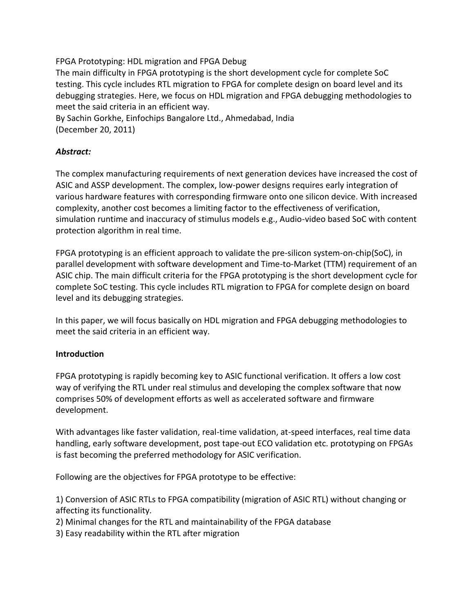FPGA Prototyping: HDL migration and FPGA Debug

The main difficulty in FPGA prototyping is the short development cycle for complete SoC testing. This cycle includes RTL migration to FPGA for complete design on board level and its debugging strategies. Here, we focus on HDL migration and FPGA debugging methodologies to meet the said criteria in an efficient way.

By Sachin Gorkhe, Einfochips Bangalore Ltd., Ahmedabad, India (December 20, 2011)

# *Abstract:*

The complex manufacturing requirements of next generation devices have increased the cost of ASIC and ASSP development. The complex, low-power designs requires early integration of various hardware features with corresponding firmware onto one silicon device. With increased complexity, another cost becomes a limiting factor to the effectiveness of verification, simulation runtime and inaccuracy of stimulus models e.g., Audio-video based SoC with content protection algorithm in real time.

FPGA prototyping is an efficient approach to validate the pre-silicon system-on-chip(SoC), in parallel development with software development and Time-to-Market (TTM) requirement of an ASIC chip. The main difficult criteria for the FPGA prototyping is the short development cycle for complete SoC testing. This cycle includes RTL migration to FPGA for complete design on board level and its debugging strategies.

In this paper, we will focus basically on HDL migration and FPGA debugging methodologies to meet the said criteria in an efficient way.

## **Introduction**

FPGA prototyping is rapidly becoming key to ASIC functional verification. It offers a low cost way of verifying the RTL under real stimulus and developing the complex software that now comprises 50% of development efforts as well as accelerated software and firmware development.

With advantages like faster validation, real-time validation, at-speed interfaces, real time data handling, early software development, post tape-out ECO validation etc. prototyping on FPGAs is fast becoming the preferred methodology for ASIC verification.

Following are the objectives for FPGA prototype to be effective:

1) Conversion of ASIC RTLs to FPGA compatibility (migration of ASIC RTL) without changing or affecting its functionality.

- 2) Minimal changes for the RTL and maintainability of the FPGA database
- 3) Easy readability within the RTL after migration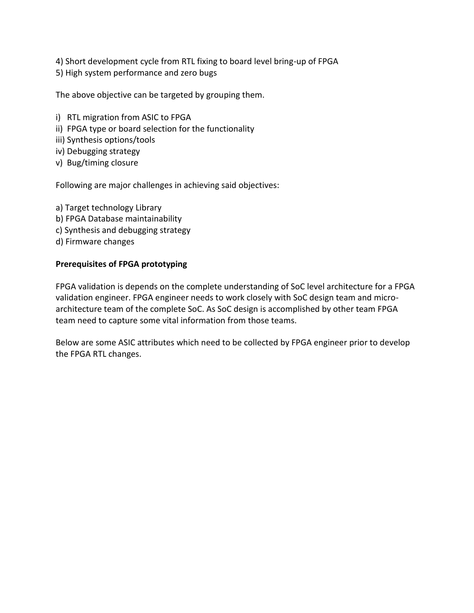4) Short development cycle from RTL fixing to board level bring-up of FPGA

5) High system performance and zero bugs

The above objective can be targeted by grouping them.

- i) RTL migration from ASIC to FPGA
- ii) FPGA type or board selection for the functionality
- iii) Synthesis options/tools
- iv) Debugging strategy
- v) Bug/timing closure

Following are major challenges in achieving said objectives:

a) Target technology Library b) FPGA Database maintainability c) Synthesis and debugging strategy d) Firmware changes

#### **Prerequisites of FPGA prototyping**

FPGA validation is depends on the complete understanding of SoC level architecture for a FPGA validation engineer. FPGA engineer needs to work closely with SoC design team and microarchitecture team of the complete SoC. As SoC design is accomplished by other team FPGA team need to capture some vital information from those teams.

Below are some ASIC attributes which need to be collected by FPGA engineer prior to develop the FPGA RTL changes.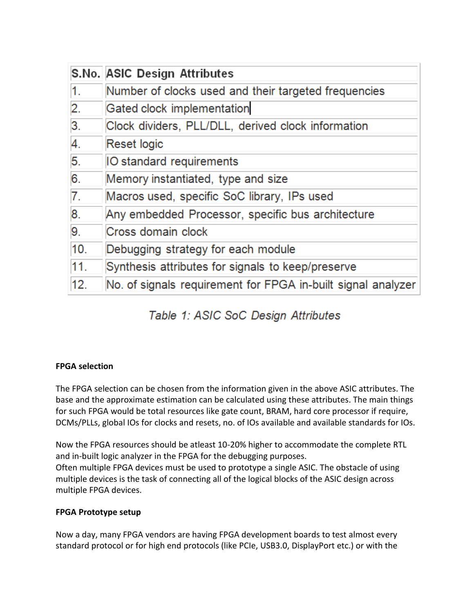|     | S.No. ASIC Design Attributes                                 |
|-----|--------------------------------------------------------------|
| 1.  | Number of clocks used and their targeted frequencies         |
| 2.  | Gated clock implementation                                   |
| 3.  | Clock dividers, PLL/DLL, derived clock information           |
| 4.  | <b>Reset logic</b>                                           |
| 5.  | <b>IO</b> standard requirements                              |
| 6.  | Memory instantiated, type and size                           |
| 7.  | Macros used, specific SoC library, IPs used                  |
| 8.  | Any embedded Processor, specific bus architecture            |
| 9.  | Cross domain clock                                           |
| 10. | Debugging strategy for each module                           |
| 11. | Synthesis attributes for signals to keep/preserve            |
| 12. | No. of signals requirement for FPGA in-built signal analyzer |

# Table 1: ASIC SoC Design Attributes

# **FPGA selection**

The FPGA selection can be chosen from the information given in the above ASIC attributes. The base and the approximate estimation can be calculated using these attributes. The main things for such FPGA would be total resources like gate count, BRAM, hard core processor if require, DCMs/PLLs, global IOs for clocks and resets, no. of IOs available and available standards for IOs.

Now the FPGA resources should be atleast 10-20% higher to accommodate the complete RTL and in-built logic analyzer in the FPGA for the debugging purposes. Often multiple FPGA devices must be used to prototype a single ASIC. The obstacle of using multiple devices is the task of connecting all of the logical blocks of the ASIC design across multiple FPGA devices.

#### **FPGA Prototype setup**

Now a day, many FPGA vendors are having FPGA development boards to test almost every standard protocol or for high end protocols (like PCIe, USB3.0, DisplayPort etc.) or with the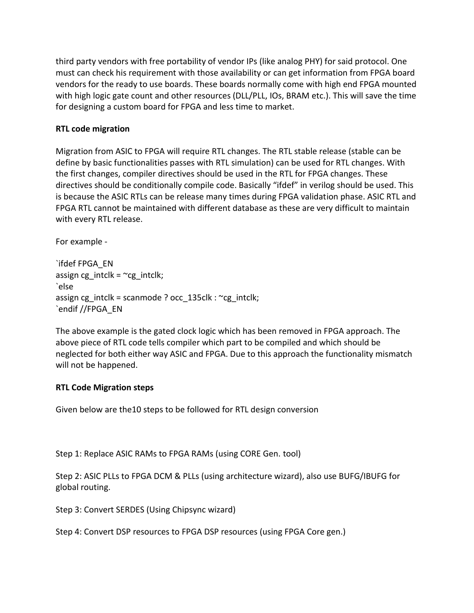third party vendors with free portability of vendor IPs (like analog PHY) for said protocol. One must can check his requirement with those availability or can get information from FPGA board vendors for the ready to use boards. These boards normally come with high end FPGA mounted with high logic gate count and other resources (DLL/PLL, IOs, BRAM etc.). This will save the time for designing a custom board for FPGA and less time to market.

#### **RTL code migration**

Migration from ASIC to FPGA will require RTL changes. The RTL stable release (stable can be define by basic functionalities passes with RTL simulation) can be used for RTL changes. With the first changes, compiler directives should be used in the RTL for FPGA changes. These directives should be conditionally compile code. Basically "ifdef" in verilog should be used. This is because the ASIC RTLs can be release many times during FPGA validation phase. ASIC RTL and FPGA RTL cannot be maintained with different database as these are very difficult to maintain with every RTL release.

For example -

`ifdef FPGA\_EN assign cg\_intclk =  $~c$ g\_intclk; `else assign cg\_intclk = scanmode ? occ\_135clk : ~cg\_intclk; `endif //FPGA\_EN

The above example is the gated clock logic which has been removed in FPGA approach. The above piece of RTL code tells compiler which part to be compiled and which should be neglected for both either way ASIC and FPGA. Due to this approach the functionality mismatch will not be happened.

#### **RTL Code Migration steps**

Given below are the10 steps to be followed for RTL design conversion

Step 1: Replace ASIC RAMs to FPGA RAMs (using CORE Gen. tool)

Step 2: ASIC PLLs to FPGA DCM & PLLs (using architecture wizard), also use BUFG/IBUFG for global routing.

Step 3: Convert SERDES (Using Chipsync wizard)

Step 4: Convert DSP resources to FPGA DSP resources (using FPGA Core gen.)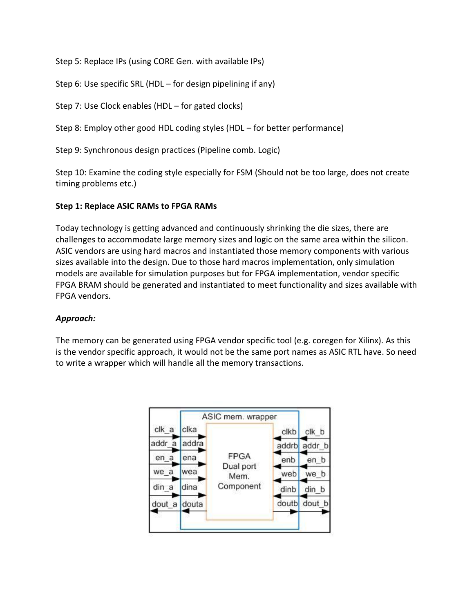Step 5: Replace IPs (using CORE Gen. with available IPs)

Step 6: Use specific SRL (HDL – for design pipelining if any)

Step 7: Use Clock enables (HDL – for gated clocks)

Step 8: Employ other good HDL coding styles (HDL – for better performance)

Step 9: Synchronous design practices (Pipeline comb. Logic)

Step 10: Examine the coding style especially for FSM (Should not be too large, does not create timing problems etc.)

## **Step 1: Replace ASIC RAMs to FPGA RAMs**

Today technology is getting advanced and continuously shrinking the die sizes, there are challenges to accommodate large memory sizes and logic on the same area within the silicon. ASIC vendors are using hard macros and instantiated those memory components with various sizes available into the design. Due to those hard macros implementation, only simulation models are available for simulation purposes but for FPGA implementation, vendor specific FPGA BRAM should be generated and instantiated to meet functionality and sizes available with FPGA vendors.

## *Approach:*

The memory can be generated using FPGA vendor specific tool (e.g. coregen for Xilinx). As this is the vendor specific approach, it would not be the same port names as ASIC RTL have. So need to write a wrapper which will handle all the memory transactions.

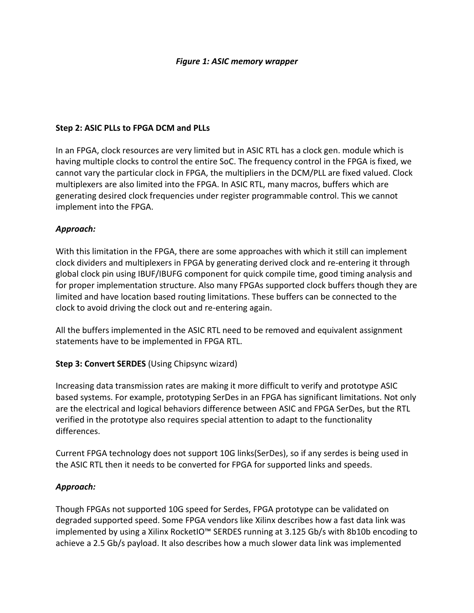#### *Figure 1: ASIC memory wrapper*

#### **Step 2: ASIC PLLs to FPGA DCM and PLLs**

In an FPGA, clock resources are very limited but in ASIC RTL has a clock gen. module which is having multiple clocks to control the entire SoC. The frequency control in the FPGA is fixed, we cannot vary the particular clock in FPGA, the multipliers in the DCM/PLL are fixed valued. Clock multiplexers are also limited into the FPGA. In ASIC RTL, many macros, buffers which are generating desired clock frequencies under register programmable control. This we cannot implement into the FPGA.

#### *Approach:*

With this limitation in the FPGA, there are some approaches with which it still can implement clock dividers and multiplexers in FPGA by generating derived clock and re-entering it through global clock pin using IBUF/IBUFG component for quick compile time, good timing analysis and for proper implementation structure. Also many FPGAs supported clock buffers though they are limited and have location based routing limitations. These buffers can be connected to the clock to avoid driving the clock out and re-entering again.

All the buffers implemented in the ASIC RTL need to be removed and equivalent assignment statements have to be implemented in FPGA RTL.

## **Step 3: Convert SERDES** (Using Chipsync wizard)

Increasing data transmission rates are making it more difficult to verify and prototype ASIC based systems. For example, prototyping SerDes in an FPGA has significant limitations. Not only are the electrical and logical behaviors difference between ASIC and FPGA SerDes, but the RTL verified in the prototype also requires special attention to adapt to the functionality differences.

Current FPGA technology does not support 10G links(SerDes), so if any serdes is being used in the ASIC RTL then it needs to be converted for FPGA for supported links and speeds.

#### *Approach:*

Though FPGAs not supported 10G speed for Serdes, FPGA prototype can be validated on degraded supported speed. Some FPGA vendors like Xilinx describes how a fast data link was implemented by using a Xilinx RocketIO™ SERDES running at 3.125 Gb/s with 8b10b encoding to achieve a 2.5 Gb/s payload. It also describes how a much slower data link was implemented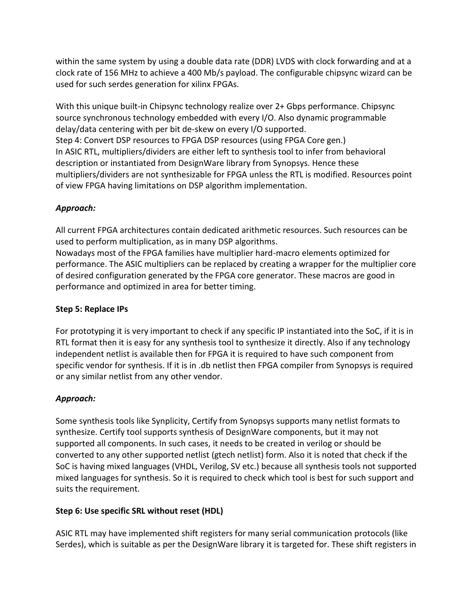within the same system by using a double data rate (DDR) LVDS with clock forwarding and at a clock rate of 156 MHz to achieve a 400 Mb/s payload. The configurable chipsync wizard can be used for such serdes generation for xilinx FPGAs.

With this unique built-in Chipsync technology realize over 2+ Gbps performance. Chipsync source synchronous technology embedded with every I/O. Also dynamic programmable delay/data centering with per bit de-skew on every I/O supported. Step 4: Convert DSP resources to FPGA DSP resources (using FPGA Core gen.) In ASIC RTL, multipliers/dividers are either left to synthesis tool to infer from behavioral description or instantiated from DesignWare library from Synopsys. Hence these multipliers/dividers are not synthesizable for FPGA unless the RTL is modified. Resources point of view FPGA having limitations on DSP algorithm implementation.

# *Approach:*

All current FPGA architectures contain dedicated arithmetic resources. Such resources can be used to perform multiplication, as in many DSP algorithms.

Nowadays most of the FPGA families have multiplier hard-macro elements optimized for performance. The ASIC multipliers can be replaced by creating a wrapper for the multiplier core of desired configuration generated by the FPGA core generator. These macros are good in performance and optimized in area for better timing.

## **Step 5: Replace IPs**

For prototyping it is very important to check if any specific IP instantiated into the SoC, if it is in RTL format then it is easy for any synthesis tool to synthesize it directly. Also if any technology independent netlist is available then for FPGA it is required to have such component from specific vendor for synthesis. If it is in .db netlist then FPGA compiler from Synopsys is required or any similar netlist from any other vendor.

# *Approach:*

Some synthesis tools like Synplicity, Certify from Synopsys supports many netlist formats to synthesize. Certify tool supports synthesis of DesignWare components, but it may not supported all components. In such cases, it needs to be created in verilog or should be converted to any other supported netlist (gtech netlist) form. Also it is noted that check if the SoC is having mixed languages (VHDL, Verilog, SV etc.) because all synthesis tools not supported mixed languages for synthesis. So it is required to check which tool is best for such support and suits the requirement.

## **Step 6: Use specific SRL without reset (HDL)**

ASIC RTL may have implemented shift registers for many serial communication protocols (like Serdes), which is suitable as per the DesignWare library it is targeted for. These shift registers in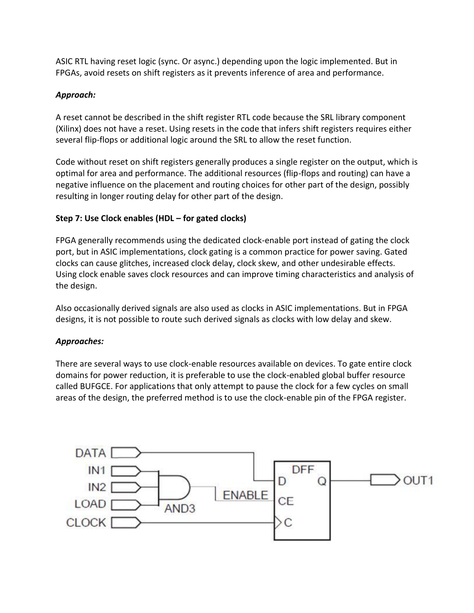ASIC RTL having reset logic (sync. Or async.) depending upon the logic implemented. But in FPGAs, avoid resets on shift registers as it prevents inference of area and performance.

# *Approach:*

A reset cannot be described in the shift register RTL code because the SRL library component (Xilinx) does not have a reset. Using resets in the code that infers shift registers requires either several flip-flops or additional logic around the SRL to allow the reset function.

Code without reset on shift registers generally produces a single register on the output, which is optimal for area and performance. The additional resources (flip-flops and routing) can have a negative influence on the placement and routing choices for other part of the design, possibly resulting in longer routing delay for other part of the design.

# **Step 7: Use Clock enables (HDL – for gated clocks)**

FPGA generally recommends using the dedicated clock-enable port instead of gating the clock port, but in ASIC implementations, clock gating is a common practice for power saving. Gated clocks can cause glitches, increased clock delay, clock skew, and other undesirable effects. Using clock enable saves clock resources and can improve timing characteristics and analysis of the design.

Also occasionally derived signals are also used as clocks in ASIC implementations. But in FPGA designs, it is not possible to route such derived signals as clocks with low delay and skew.

## *Approaches:*

There are several ways to use clock-enable resources available on devices. To gate entire clock domains for power reduction, it is preferable to use the clock-enabled global buffer resource called BUFGCE. For applications that only attempt to pause the clock for a few cycles on small areas of the design, the preferred method is to use the clock-enable pin of the FPGA register.

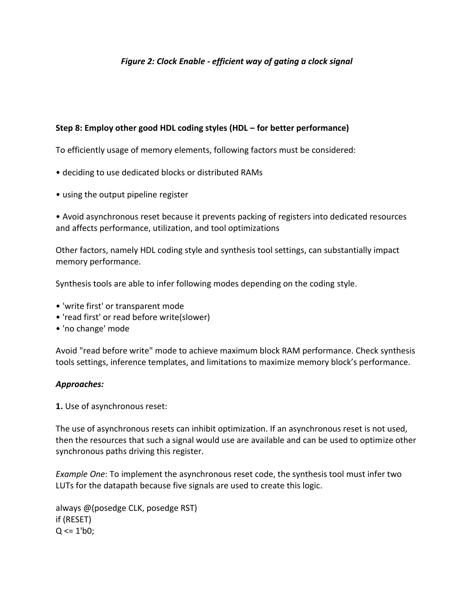#### *Figure 2: Clock Enable - efficient way of gating a clock signal*

#### **Step 8: Employ other good HDL coding styles (HDL – for better performance)**

To efficiently usage of memory elements, following factors must be considered:

- deciding to use dedicated blocks or distributed RAMs
- using the output pipeline register

• Avoid asynchronous reset because it prevents packing of registers into dedicated resources and affects performance, utilization, and tool optimizations

Other factors, namely HDL coding style and synthesis tool settings, can substantially impact memory performance.

Synthesis tools are able to infer following modes depending on the coding style.

- 'write first' or transparent mode
- 'read first' or read before write(slower)
- 'no change' mode

Avoid "read before write" mode to achieve maximum block RAM performance. Check synthesis tools settings, inference templates, and limitations to maximize memory block's performance.

#### *Approaches:*

**1.** Use of asynchronous reset:

The use of asynchronous resets can inhibit optimization. If an asynchronous reset is not used, then the resources that such a signal would use are available and can be used to optimize other synchronous paths driving this register.

*Example One*: To implement the asynchronous reset code, the synthesis tool must infer two LUTs for the datapath because five signals are used to create this logic.

always @(posedge CLK, posedge RST) if (RESET)  $Q \leq 1' b0$ ;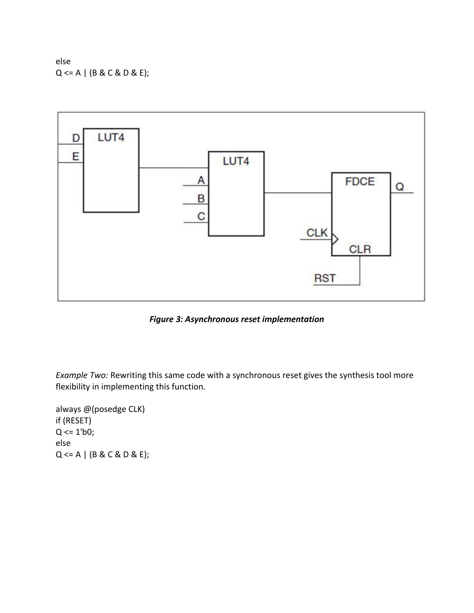else  $Q \leq A \mid (B \& C \& D \& E);$ 



*Figure 3: Asynchronous reset implementation*

*Example Two:* Rewriting this same code with a synchronous reset gives the synthesis tool more flexibility in implementing this function.

always @(posedge CLK) if (RESET)  $Q \le 1' b0;$ else  $Q \leq A \mid (B \& C \& D \& E);$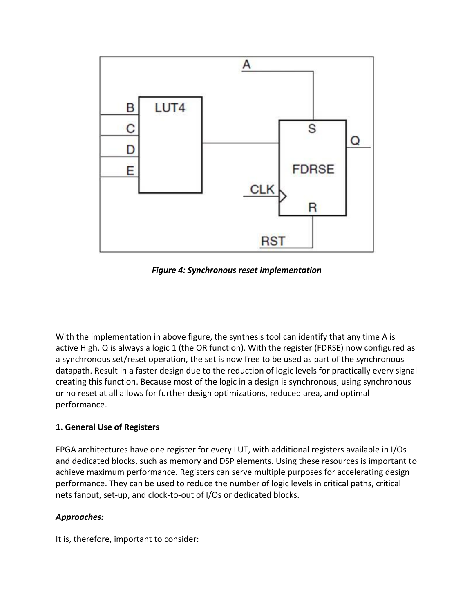

*Figure 4: Synchronous reset implementation*

With the implementation in above figure, the synthesis tool can identify that any time A is active High, Q is always a logic 1 (the OR function). With the register (FDRSE) now configured as a synchronous set/reset operation, the set is now free to be used as part of the synchronous datapath. Result in a faster design due to the reduction of logic levels for practically every signal creating this function. Because most of the logic in a design is synchronous, using synchronous or no reset at all allows for further design optimizations, reduced area, and optimal performance.

## **1. General Use of Registers**

FPGA architectures have one register for every LUT, with additional registers available in I/Os and dedicated blocks, such as memory and DSP elements. Using these resources is important to achieve maximum performance. Registers can serve multiple purposes for accelerating design performance. They can be used to reduce the number of logic levels in critical paths, critical nets fanout, set-up, and clock-to-out of I/Os or dedicated blocks.

## *Approaches:*

It is, therefore, important to consider: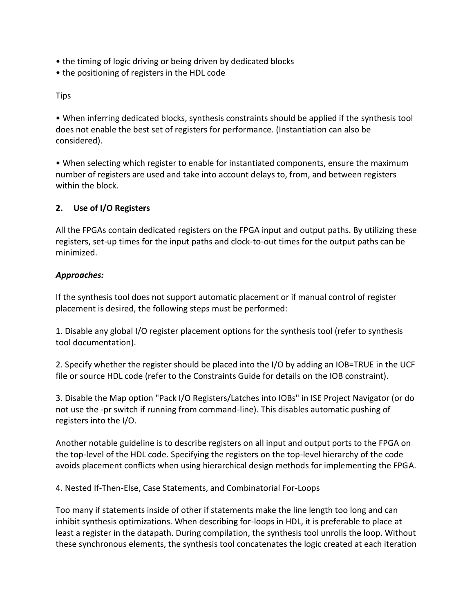- the timing of logic driving or being driven by dedicated blocks
- the positioning of registers in the HDL code

## Tips

• When inferring dedicated blocks, synthesis constraints should be applied if the synthesis tool does not enable the best set of registers for performance. (Instantiation can also be considered).

• When selecting which register to enable for instantiated components, ensure the maximum number of registers are used and take into account delays to, from, and between registers within the block.

# **2. Use of I/O Registers**

All the FPGAs contain dedicated registers on the FPGA input and output paths. By utilizing these registers, set-up times for the input paths and clock-to-out times for the output paths can be minimized.

# *Approaches:*

If the synthesis tool does not support automatic placement or if manual control of register placement is desired, the following steps must be performed:

1. Disable any global I/O register placement options for the synthesis tool (refer to synthesis tool documentation).

2. Specify whether the register should be placed into the I/O by adding an IOB=TRUE in the UCF file or source HDL code (refer to the Constraints Guide for details on the IOB constraint).

3. Disable the Map option "Pack I/O Registers/Latches into IOBs" in ISE Project Navigator (or do not use the -pr switch if running from command-line). This disables automatic pushing of registers into the I/O.

Another notable guideline is to describe registers on all input and output ports to the FPGA on the top-level of the HDL code. Specifying the registers on the top-level hierarchy of the code avoids placement conflicts when using hierarchical design methods for implementing the FPGA.

4. Nested If-Then-Else, Case Statements, and Combinatorial For-Loops

Too many if statements inside of other if statements make the line length too long and can inhibit synthesis optimizations. When describing for-loops in HDL, it is preferable to place at least a register in the datapath. During compilation, the synthesis tool unrolls the loop. Without these synchronous elements, the synthesis tool concatenates the logic created at each iteration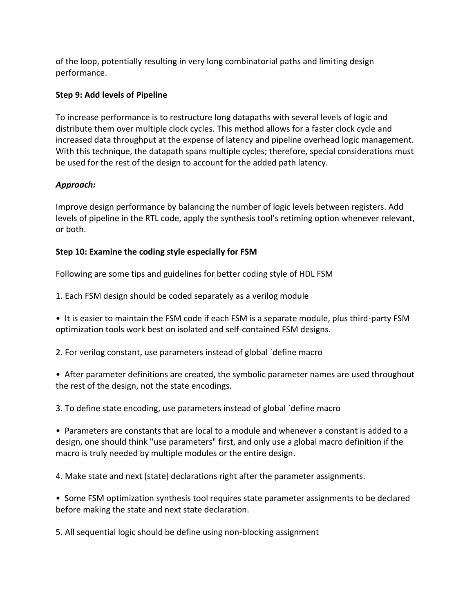of the loop, potentially resulting in very long combinatorial paths and limiting design performance.

#### **Step 9: Add levels of Pipeline**

To increase performance is to restructure long datapaths with several levels of logic and distribute them over multiple clock cycles. This method allows for a faster clock cycle and increased data throughput at the expense of latency and pipeline overhead logic management. With this technique, the datapath spans multiple cycles; therefore, special considerations must be used for the rest of the design to account for the added path latency.

## *Approach:*

Improve design performance by balancing the number of logic levels between registers. Add levels of pipeline in the RTL code, apply the synthesis tool's retiming option whenever relevant, or both.

## **Step 10: Examine the coding style especially for FSM**

Following are some tips and guidelines for better coding style of HDL FSM

1. Each FSM design should be coded separately as a verilog module

• It is easier to maintain the FSM code if each FSM is a separate module, plus third-party FSM optimization tools work best on isolated and self-contained FSM designs.

2. For verilog constant, use parameters instead of global `define macro

• After parameter definitions are created, the symbolic parameter names are used throughout the rest of the design, not the state encodings.

3. To define state encoding, use parameters instead of global `define macro

• Parameters are constants that are local to a module and whenever a constant is added to a design, one should think "use parameters" first, and only use a global macro definition if the macro is truly needed by multiple modules or the entire design.

4. Make state and next (state) declarations right after the parameter assignments.

• Some FSM optimization synthesis tool requires state parameter assignments to be declared before making the state and next state declaration.

5. All sequential logic should be define using non-blocking assignment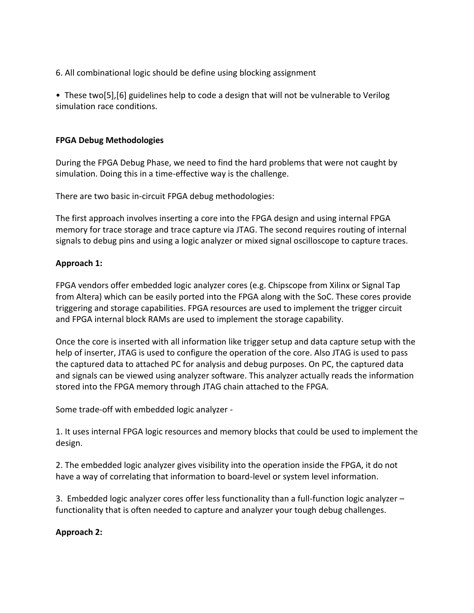6. All combinational logic should be define using blocking assignment

• These two[5],[6] guidelines help to code a design that will not be vulnerable to Verilog simulation race conditions.

## **FPGA Debug Methodologies**

During the FPGA Debug Phase, we need to find the hard problems that were not caught by simulation. Doing this in a time-effective way is the challenge.

There are two basic in-circuit FPGA debug methodologies:

The first approach involves inserting a core into the FPGA design and using internal FPGA memory for trace storage and trace capture via JTAG. The second requires routing of internal signals to debug pins and using a logic analyzer or mixed signal oscilloscope to capture traces.

# **Approach 1:**

FPGA vendors offer embedded logic analyzer cores (e.g. Chipscope from Xilinx or Signal Tap from Altera) which can be easily ported into the FPGA along with the SoC. These cores provide triggering and storage capabilities. FPGA resources are used to implement the trigger circuit and FPGA internal block RAMs are used to implement the storage capability.

Once the core is inserted with all information like trigger setup and data capture setup with the help of inserter, JTAG is used to configure the operation of the core. Also JTAG is used to pass the captured data to attached PC for analysis and debug purposes. On PC, the captured data and signals can be viewed using analyzer software. This analyzer actually reads the information stored into the FPGA memory through JTAG chain attached to the FPGA.

Some trade-off with embedded logic analyzer -

1. It uses internal FPGA logic resources and memory blocks that could be used to implement the design.

2. The embedded logic analyzer gives visibility into the operation inside the FPGA, it do not have a way of correlating that information to board-level or system level information.

3. Embedded logic analyzer cores offer less functionality than a full-function logic analyzer – functionality that is often needed to capture and analyzer your tough debug challenges.

# **Approach 2:**